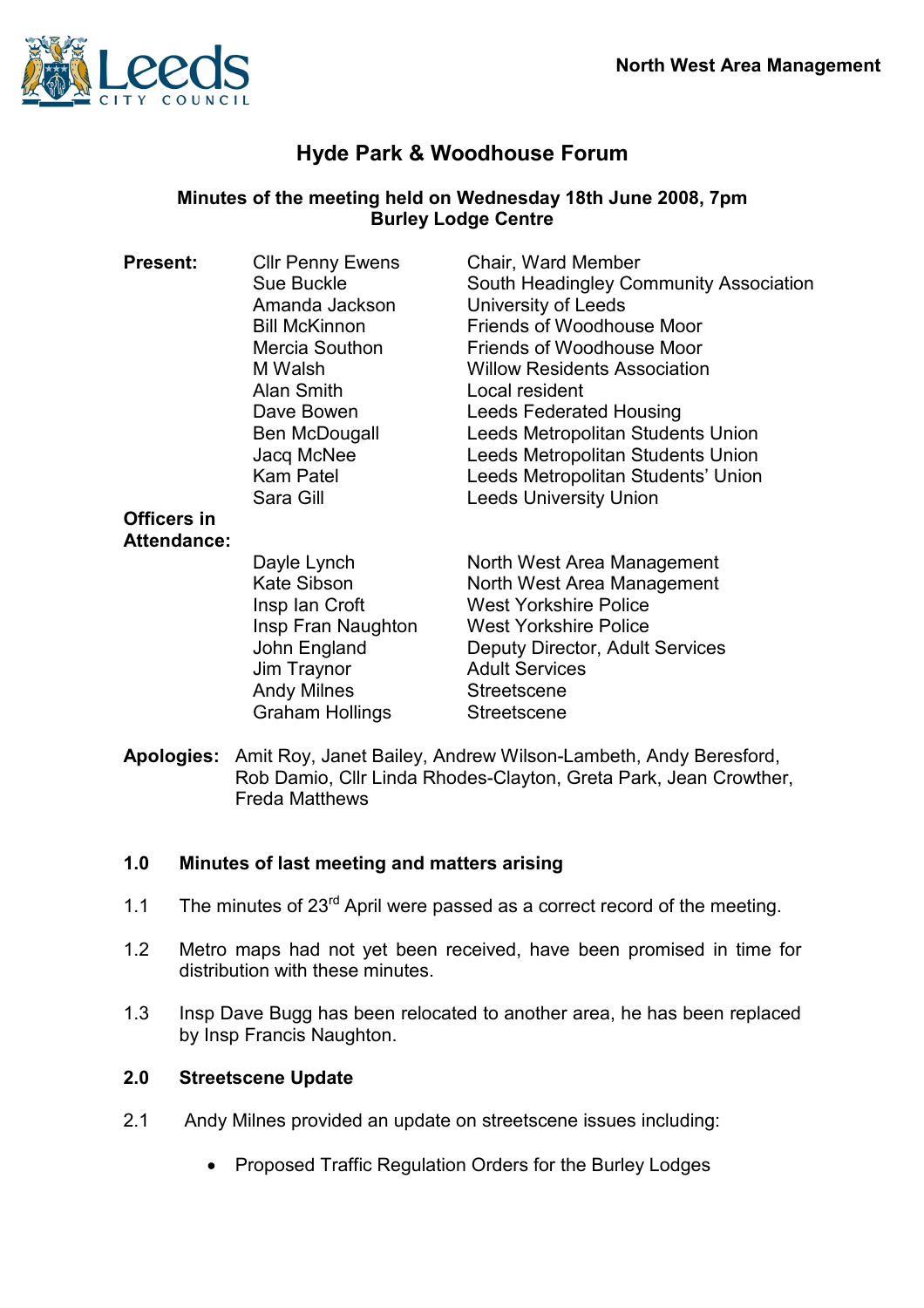

# Hyde Park & Woodhouse Forum

# Minutes of the meeting held on Wednesday 18th June 2008, 7pm Burley Lodge Centre

| <b>Present:</b>    | <b>CIIr Penny Ewens</b> | Chair, Ward Member                     |
|--------------------|-------------------------|----------------------------------------|
|                    | Sue Buckle              | South Headingley Community Association |
|                    | Amanda Jackson          | University of Leeds                    |
|                    | <b>Bill McKinnon</b>    | Friends of Woodhouse Moor              |
|                    | Mercia Southon          | Friends of Woodhouse Moor              |
|                    | M Walsh                 | <b>Willow Residents Association</b>    |
|                    | Alan Smith              | Local resident                         |
|                    | Dave Bowen              | <b>Leeds Federated Housing</b>         |
|                    | Ben McDougall           | Leeds Metropolitan Students Union      |
|                    | Jacq McNee              | Leeds Metropolitan Students Union      |
|                    | <b>Kam Patel</b>        | Leeds Metropolitan Students' Union     |
|                    | Sara Gill               | <b>Leeds University Union</b>          |
| Officers in        |                         |                                        |
| <b>Attendance:</b> |                         |                                        |
|                    | Dayle Lynch             | North West Area Management             |
|                    | Kate Sibson             | North West Area Management             |
|                    | Insp Ian Croft          | <b>West Yorkshire Police</b>           |
|                    | Insp Fran Naughton      | <b>West Yorkshire Police</b>           |
|                    | John England            | Deputy Director, Adult Services        |
|                    | Jim Traynor             | <b>Adult Services</b>                  |
|                    | <b>Andy Milnes</b>      | <b>Streetscene</b>                     |
|                    | Graham Hollings         | Streetscene                            |
|                    |                         |                                        |

Apologies: Amit Roy, Janet Bailey, Andrew Wilson-Lambeth, Andy Beresford, Rob Damio, Cllr Linda Rhodes-Clayton, Greta Park, Jean Crowther, Freda Matthews

#### 1.0 Minutes of last meeting and matters arising

- 1.1 The minutes of 23<sup>rd</sup> April were passed as a correct record of the meeting.
- 1.2 Metro maps had not yet been received, have been promised in time for distribution with these minutes.
- 1.3 Insp Dave Bugg has been relocated to another area, he has been replaced by Insp Francis Naughton.

#### 2.0 Streetscene Update

- 2.1 Andy Milnes provided an update on streetscene issues including:
	- Proposed Traffic Regulation Orders for the Burley Lodges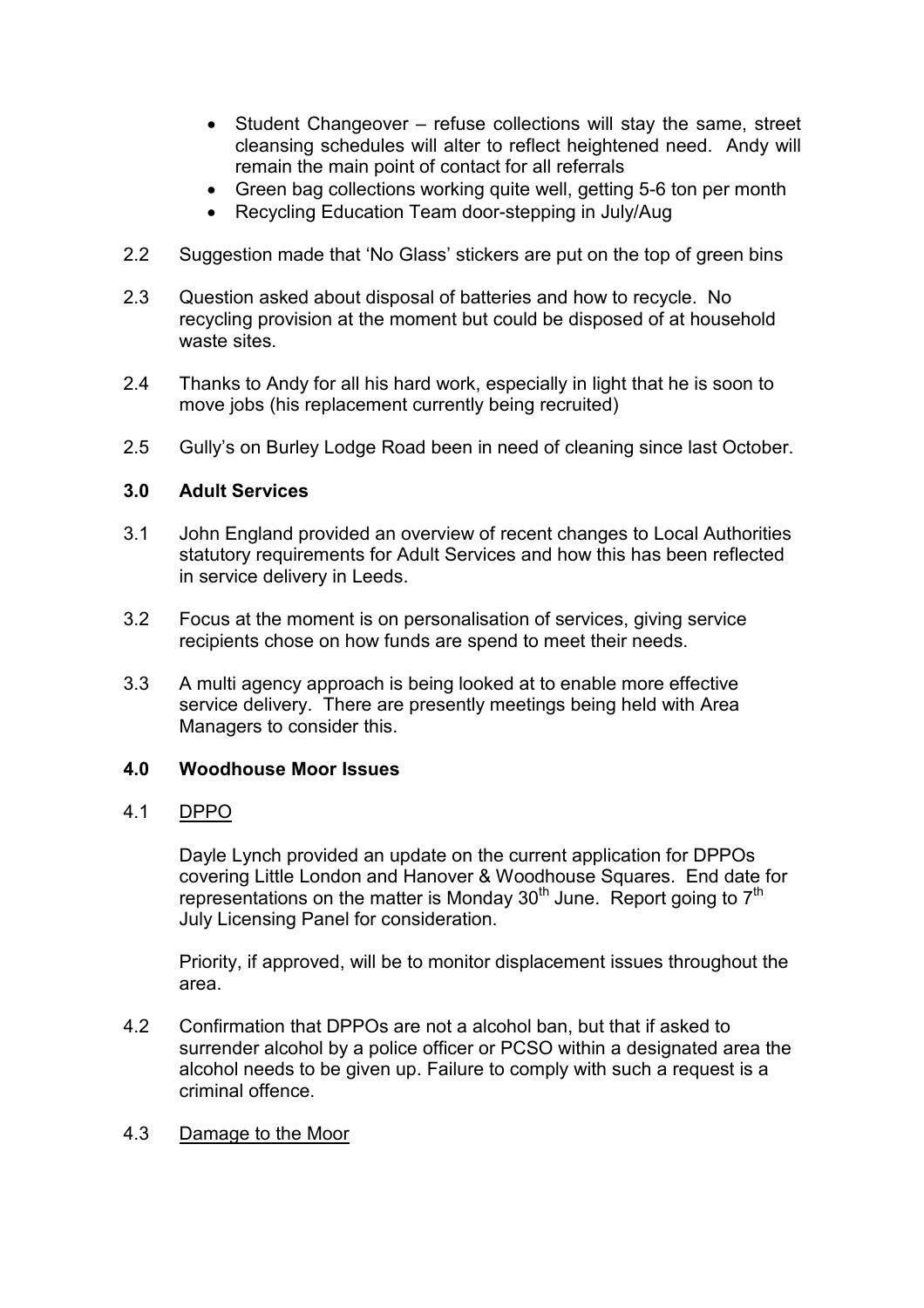- Student Changeover refuse collections will stay the same, street cleansing schedules will alter to reflect heightened need. Andy will remain the main point of contact for all referrals
- Green bag collections working quite well, getting 5-6 ton per month
- Recycling Education Team door-stepping in July/Aug
- 2.2 Suggestion made that 'No Glass' stickers are put on the top of green bins
- 2.3 Question asked about disposal of batteries and how to recycle. No recycling provision at the moment but could be disposed of at household waste sites.
- 2.4 Thanks to Andy for all his hard work, especially in light that he is soon to move jobs (his replacement currently being recruited)
- 2.5 Gully's on Burley Lodge Road been in need of cleaning since last October.

### 3.0 Adult Services

- 3.1 John England provided an overview of recent changes to Local Authorities statutory requirements for Adult Services and how this has been reflected in service delivery in Leeds.
- 3.2 Focus at the moment is on personalisation of services, giving service recipients chose on how funds are spend to meet their needs.
- 3.3 A multi agency approach is being looked at to enable more effective service delivery. There are presently meetings being held with Area Managers to consider this.

#### 4.0 Woodhouse Moor Issues

#### 4.1 DPPO

 Dayle Lynch provided an update on the current application for DPPOs covering Little London and Hanover & Woodhouse Squares. End date for representations on the matter is Monday  $30<sup>th</sup>$  June. Report going to  $7<sup>th</sup>$ July Licensing Panel for consideration.

 Priority, if approved, will be to monitor displacement issues throughout the area.

4.2 Confirmation that DPPOs are not a alcohol ban, but that if asked to surrender alcohol by a police officer or PCSO within a designated area the alcohol needs to be given up. Failure to comply with such a request is a criminal offence.

#### 4.3 Damage to the Moor